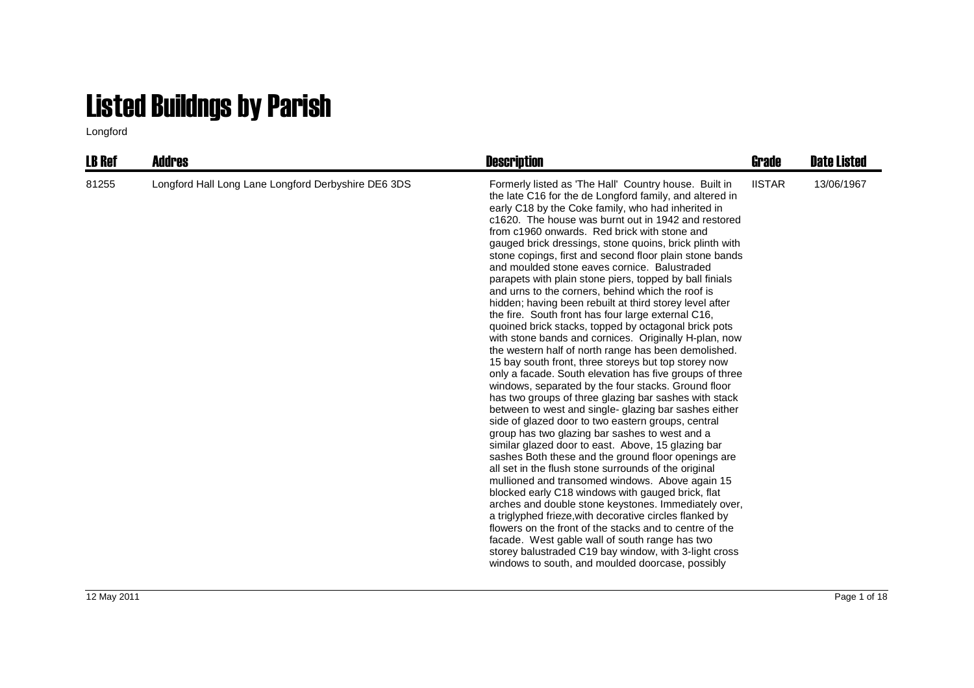## Listed Buildngs by Parish

Longford

| <b>LB Ref</b> | <b>Addres</b>                                       | <b>Description</b>                                                                                                                                                                                                                                                                                                                                                                                                                                                                                                                                                                                                                                                                                                                                                                                                                                                                                                                                                                                                                                                                                                                                                                                                                                                                                                                                                                                                                                                                                                                                                                                                                                                                                                                                                                                                                                                                         | Grade         | <b>Date Listed</b> |
|---------------|-----------------------------------------------------|--------------------------------------------------------------------------------------------------------------------------------------------------------------------------------------------------------------------------------------------------------------------------------------------------------------------------------------------------------------------------------------------------------------------------------------------------------------------------------------------------------------------------------------------------------------------------------------------------------------------------------------------------------------------------------------------------------------------------------------------------------------------------------------------------------------------------------------------------------------------------------------------------------------------------------------------------------------------------------------------------------------------------------------------------------------------------------------------------------------------------------------------------------------------------------------------------------------------------------------------------------------------------------------------------------------------------------------------------------------------------------------------------------------------------------------------------------------------------------------------------------------------------------------------------------------------------------------------------------------------------------------------------------------------------------------------------------------------------------------------------------------------------------------------------------------------------------------------------------------------------------------------|---------------|--------------------|
| 81255         | Longford Hall Long Lane Longford Derbyshire DE6 3DS | Formerly listed as 'The Hall' Country house. Built in<br>the late C16 for the de Longford family, and altered in<br>early C18 by the Coke family, who had inherited in<br>c1620. The house was burnt out in 1942 and restored<br>from c1960 onwards. Red brick with stone and<br>gauged brick dressings, stone quoins, brick plinth with<br>stone copings, first and second floor plain stone bands<br>and moulded stone eaves cornice. Balustraded<br>parapets with plain stone piers, topped by ball finials<br>and urns to the corners, behind which the roof is<br>hidden; having been rebuilt at third storey level after<br>the fire. South front has four large external C16,<br>quoined brick stacks, topped by octagonal brick pots<br>with stone bands and cornices. Originally H-plan, now<br>the western half of north range has been demolished.<br>15 bay south front, three storeys but top storey now<br>only a facade. South elevation has five groups of three<br>windows, separated by the four stacks. Ground floor<br>has two groups of three glazing bar sashes with stack<br>between to west and single-glazing bar sashes either<br>side of glazed door to two eastern groups, central<br>group has two glazing bar sashes to west and a<br>similar glazed door to east. Above, 15 glazing bar<br>sashes Both these and the ground floor openings are<br>all set in the flush stone surrounds of the original<br>mullioned and transomed windows. Above again 15<br>blocked early C18 windows with gauged brick, flat<br>arches and double stone keystones. Immediately over,<br>a triglyphed frieze, with decorative circles flanked by<br>flowers on the front of the stacks and to centre of the<br>facade. West gable wall of south range has two<br>storey balustraded C19 bay window, with 3-light cross<br>windows to south, and moulded doorcase, possibly | <b>IISTAR</b> | 13/06/1967         |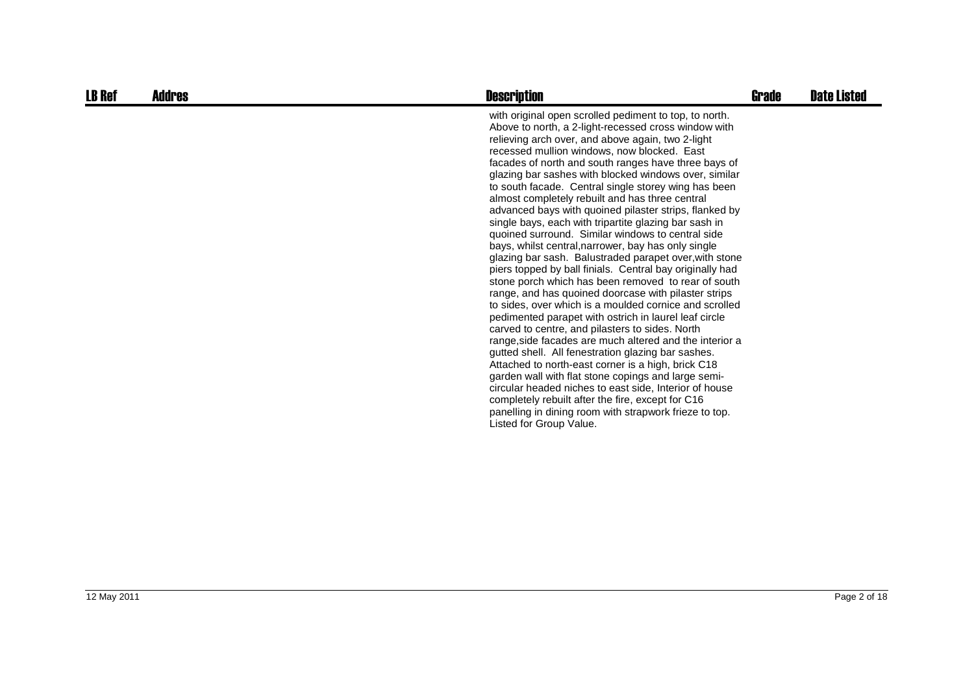| <b>LB Ref</b> | Addres | <b>Description</b>                                                                                                                                                                                                                                                                                                                                                                                                                                                                                                                                                                                                                                                                                                                                                                                                                                                                                                                                                                                                                                                                                                                                                                                                                                                                                                                                                                                                                                                                                                         | <b>Grade</b> | <b>Date Listed</b> |
|---------------|--------|----------------------------------------------------------------------------------------------------------------------------------------------------------------------------------------------------------------------------------------------------------------------------------------------------------------------------------------------------------------------------------------------------------------------------------------------------------------------------------------------------------------------------------------------------------------------------------------------------------------------------------------------------------------------------------------------------------------------------------------------------------------------------------------------------------------------------------------------------------------------------------------------------------------------------------------------------------------------------------------------------------------------------------------------------------------------------------------------------------------------------------------------------------------------------------------------------------------------------------------------------------------------------------------------------------------------------------------------------------------------------------------------------------------------------------------------------------------------------------------------------------------------------|--------------|--------------------|
|               |        | with original open scrolled pediment to top, to north.<br>Above to north, a 2-light-recessed cross window with<br>relieving arch over, and above again, two 2-light<br>recessed mullion windows, now blocked. East<br>facades of north and south ranges have three bays of<br>glazing bar sashes with blocked windows over, similar<br>to south facade. Central single storey wing has been<br>almost completely rebuilt and has three central<br>advanced bays with quoined pilaster strips, flanked by<br>single bays, each with tripartite glazing bar sash in<br>quoined surround. Similar windows to central side<br>bays, whilst central, narrower, bay has only single<br>glazing bar sash. Balustraded parapet over, with stone<br>piers topped by ball finials. Central bay originally had<br>stone porch which has been removed to rear of south<br>range, and has quoined doorcase with pilaster strips<br>to sides, over which is a moulded cornice and scrolled<br>pedimented parapet with ostrich in laurel leaf circle<br>carved to centre, and pilasters to sides. North<br>range, side facades are much altered and the interior a<br>gutted shell. All fenestration glazing bar sashes.<br>Attached to north-east corner is a high, brick C18<br>garden wall with flat stone copings and large semi-<br>circular headed niches to east side, Interior of house<br>completely rebuilt after the fire, except for C16<br>panelling in dining room with strapwork frieze to top.<br>Listed for Group Value. |              |                    |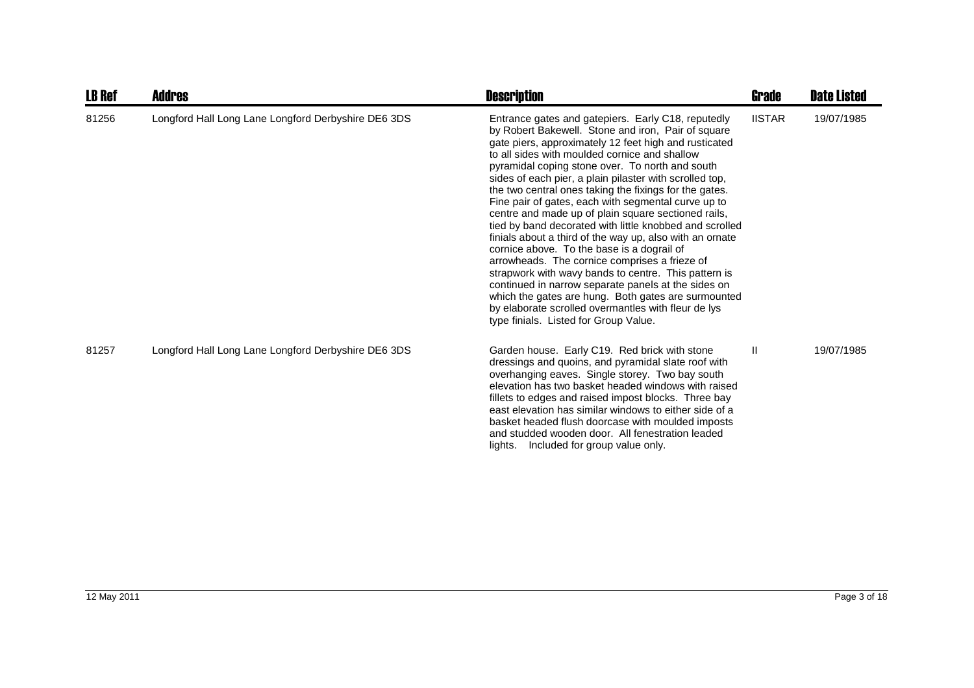| <b>LB Ref</b> | <b>Addres</b>                                       | <b>Description</b>                                                                                                                                                                                                                                                                                                                                                                                                                                                                                                                                                                                                                                                                                                                                                                                                                                                                                                                                                                                   | <b>Grade</b>  | <b>Date Listed</b> |
|---------------|-----------------------------------------------------|------------------------------------------------------------------------------------------------------------------------------------------------------------------------------------------------------------------------------------------------------------------------------------------------------------------------------------------------------------------------------------------------------------------------------------------------------------------------------------------------------------------------------------------------------------------------------------------------------------------------------------------------------------------------------------------------------------------------------------------------------------------------------------------------------------------------------------------------------------------------------------------------------------------------------------------------------------------------------------------------------|---------------|--------------------|
| 81256         | Longford Hall Long Lane Longford Derbyshire DE6 3DS | Entrance gates and gatepiers. Early C18, reputedly<br>by Robert Bakewell. Stone and iron, Pair of square<br>gate piers, approximately 12 feet high and rusticated<br>to all sides with moulded cornice and shallow<br>pyramidal coping stone over. To north and south<br>sides of each pier, a plain pilaster with scrolled top,<br>the two central ones taking the fixings for the gates.<br>Fine pair of gates, each with segmental curve up to<br>centre and made up of plain square sectioned rails,<br>tied by band decorated with little knobbed and scrolled<br>finials about a third of the way up, also with an ornate<br>cornice above. To the base is a dograil of<br>arrowheads. The cornice comprises a frieze of<br>strapwork with wavy bands to centre. This pattern is<br>continued in narrow separate panels at the sides on<br>which the gates are hung. Both gates are surmounted<br>by elaborate scrolled overmantles with fleur de lys<br>type finials. Listed for Group Value. | <b>IISTAR</b> | 19/07/1985         |
| 81257         | Longford Hall Long Lane Longford Derbyshire DE6 3DS | Garden house. Early C19. Red brick with stone<br>dressings and quoins, and pyramidal slate roof with<br>overhanging eaves. Single storey. Two bay south<br>elevation has two basket headed windows with raised<br>fillets to edges and raised impost blocks. Three bay<br>east elevation has similar windows to either side of a<br>basket headed flush doorcase with moulded imposts<br>and studded wooden door. All fenestration leaded<br>lights. Included for group value only.                                                                                                                                                                                                                                                                                                                                                                                                                                                                                                                  | Ш             | 19/07/1985         |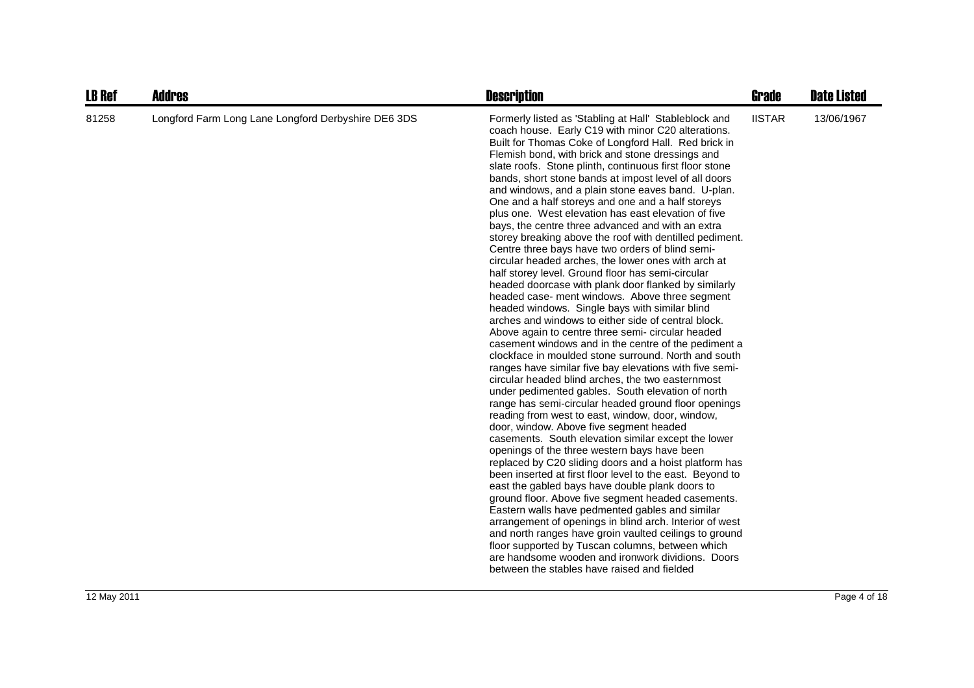| <b>LB Ref</b> | <b>Addres</b>                                       | <b>Description</b>                                                                                                                                                                                                                                                                                                                                                                                                                                                                                                                                                                                                                                                                                                                                                                                                                                                                                                                                                                                                                                                                                                                                                                                                                                                                                                                                                                                                                                                                                                                                                                                                                                                                                                                                                                                                                                                                                                                                                                                                                                                                                                                                                                       | <b>Grade</b>  | <b>Date Listed</b> |
|---------------|-----------------------------------------------------|------------------------------------------------------------------------------------------------------------------------------------------------------------------------------------------------------------------------------------------------------------------------------------------------------------------------------------------------------------------------------------------------------------------------------------------------------------------------------------------------------------------------------------------------------------------------------------------------------------------------------------------------------------------------------------------------------------------------------------------------------------------------------------------------------------------------------------------------------------------------------------------------------------------------------------------------------------------------------------------------------------------------------------------------------------------------------------------------------------------------------------------------------------------------------------------------------------------------------------------------------------------------------------------------------------------------------------------------------------------------------------------------------------------------------------------------------------------------------------------------------------------------------------------------------------------------------------------------------------------------------------------------------------------------------------------------------------------------------------------------------------------------------------------------------------------------------------------------------------------------------------------------------------------------------------------------------------------------------------------------------------------------------------------------------------------------------------------------------------------------------------------------------------------------------------------|---------------|--------------------|
| 81258         | Longford Farm Long Lane Longford Derbyshire DE6 3DS | Formerly listed as 'Stabling at Hall' Stableblock and<br>coach house. Early C19 with minor C20 alterations.<br>Built for Thomas Coke of Longford Hall. Red brick in<br>Flemish bond, with brick and stone dressings and<br>slate roofs. Stone plinth, continuous first floor stone<br>bands, short stone bands at impost level of all doors<br>and windows, and a plain stone eaves band. U-plan.<br>One and a half storeys and one and a half storeys<br>plus one. West elevation has east elevation of five<br>bays, the centre three advanced and with an extra<br>storey breaking above the roof with dentilled pediment.<br>Centre three bays have two orders of blind semi-<br>circular headed arches, the lower ones with arch at<br>half storey level. Ground floor has semi-circular<br>headed doorcase with plank door flanked by similarly<br>headed case- ment windows. Above three segment<br>headed windows. Single bays with similar blind<br>arches and windows to either side of central block.<br>Above again to centre three semi- circular headed<br>casement windows and in the centre of the pediment a<br>clockface in moulded stone surround. North and south<br>ranges have similar five bay elevations with five semi-<br>circular headed blind arches, the two easternmost<br>under pedimented gables. South elevation of north<br>range has semi-circular headed ground floor openings<br>reading from west to east, window, door, window,<br>door, window. Above five segment headed<br>casements. South elevation similar except the lower<br>openings of the three western bays have been<br>replaced by C20 sliding doors and a hoist platform has<br>been inserted at first floor level to the east. Beyond to<br>east the gabled bays have double plank doors to<br>ground floor. Above five segment headed casements.<br>Eastern walls have pedmented gables and similar<br>arrangement of openings in blind arch. Interior of west<br>and north ranges have groin vaulted ceilings to ground<br>floor supported by Tuscan columns, between which<br>are handsome wooden and ironwork dividions. Doors<br>between the stables have raised and fielded | <b>IISTAR</b> | 13/06/1967         |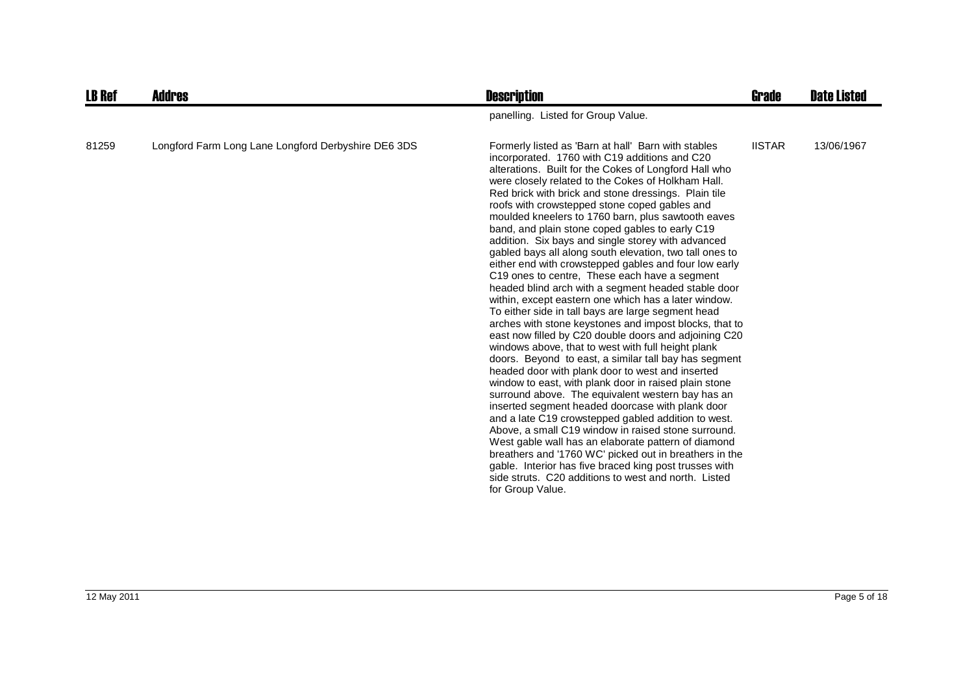| <b>LB Ref</b> | <b>Addres</b>                                       | <b>Description</b>                                                                                                                                                                                                                                                                                                                                                                                                                                                                                                                                                                                                                                                                                                                                                                                                                                                                                                                                                                                                                                                                                                                                                                                                                                                                                                                                                                                                                                                                                                                                                                                                                                                 | Grade         | <b>Date Listed</b> |
|---------------|-----------------------------------------------------|--------------------------------------------------------------------------------------------------------------------------------------------------------------------------------------------------------------------------------------------------------------------------------------------------------------------------------------------------------------------------------------------------------------------------------------------------------------------------------------------------------------------------------------------------------------------------------------------------------------------------------------------------------------------------------------------------------------------------------------------------------------------------------------------------------------------------------------------------------------------------------------------------------------------------------------------------------------------------------------------------------------------------------------------------------------------------------------------------------------------------------------------------------------------------------------------------------------------------------------------------------------------------------------------------------------------------------------------------------------------------------------------------------------------------------------------------------------------------------------------------------------------------------------------------------------------------------------------------------------------------------------------------------------------|---------------|--------------------|
|               |                                                     | panelling. Listed for Group Value.                                                                                                                                                                                                                                                                                                                                                                                                                                                                                                                                                                                                                                                                                                                                                                                                                                                                                                                                                                                                                                                                                                                                                                                                                                                                                                                                                                                                                                                                                                                                                                                                                                 |               |                    |
| 81259         | Longford Farm Long Lane Longford Derbyshire DE6 3DS | Formerly listed as 'Barn at hall' Barn with stables<br>incorporated. 1760 with C19 additions and C20<br>alterations. Built for the Cokes of Longford Hall who<br>were closely related to the Cokes of Holkham Hall.<br>Red brick with brick and stone dressings. Plain tile<br>roofs with crowstepped stone coped gables and<br>moulded kneelers to 1760 barn, plus sawtooth eaves<br>band, and plain stone coped gables to early C19<br>addition. Six bays and single storey with advanced<br>gabled bays all along south elevation, two tall ones to<br>either end with crowstepped gables and four low early<br>C19 ones to centre, These each have a segment<br>headed blind arch with a segment headed stable door<br>within, except eastern one which has a later window.<br>To either side in tall bays are large segment head<br>arches with stone keystones and impost blocks, that to<br>east now filled by C20 double doors and adjoining C20<br>windows above, that to west with full height plank<br>doors. Beyond to east, a similar tall bay has segment<br>headed door with plank door to west and inserted<br>window to east, with plank door in raised plain stone<br>surround above. The equivalent western bay has an<br>inserted segment headed doorcase with plank door<br>and a late C19 crowstepped gabled addition to west.<br>Above, a small C19 window in raised stone surround.<br>West gable wall has an elaborate pattern of diamond<br>breathers and '1760 WC' picked out in breathers in the<br>gable. Interior has five braced king post trusses with<br>side struts. C20 additions to west and north. Listed<br>for Group Value. | <b>IISTAR</b> | 13/06/1967         |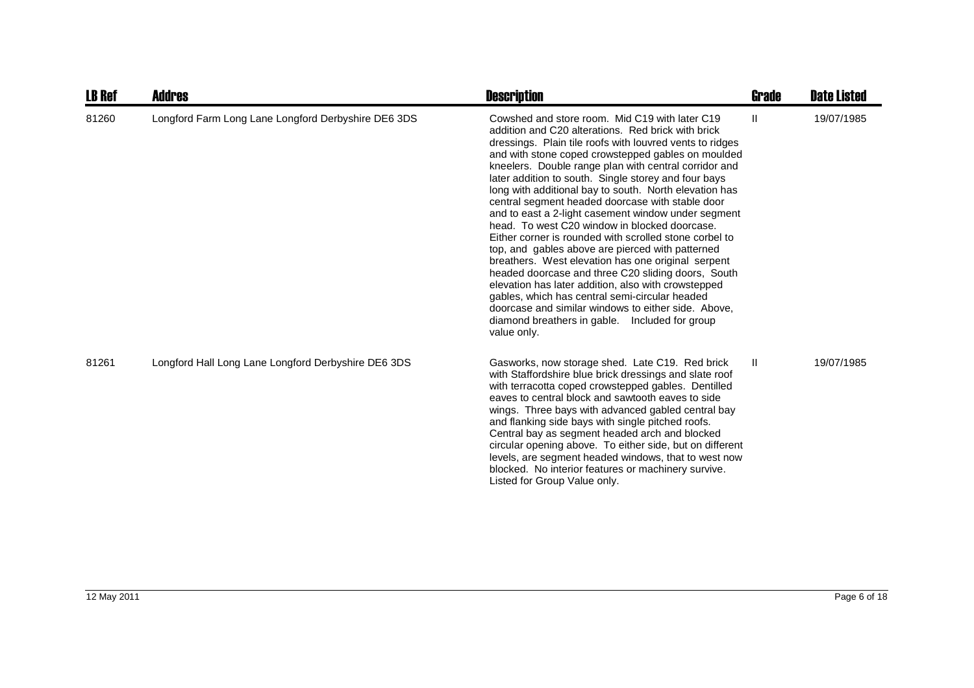| <b>LB Ref</b> | <b>Addres</b>                                       | <b>Description</b>                                                                                                                                                                                                                                                                                                                                                                                                                                                                                                                                                                                                                                                                                                                                                                                                                                                                                                                                                                                                       | Grade | <b>Date Listed</b> |
|---------------|-----------------------------------------------------|--------------------------------------------------------------------------------------------------------------------------------------------------------------------------------------------------------------------------------------------------------------------------------------------------------------------------------------------------------------------------------------------------------------------------------------------------------------------------------------------------------------------------------------------------------------------------------------------------------------------------------------------------------------------------------------------------------------------------------------------------------------------------------------------------------------------------------------------------------------------------------------------------------------------------------------------------------------------------------------------------------------------------|-------|--------------------|
| 81260         | Longford Farm Long Lane Longford Derbyshire DE6 3DS | Cowshed and store room. Mid C19 with later C19<br>addition and C20 alterations. Red brick with brick<br>dressings. Plain tile roofs with louvred vents to ridges<br>and with stone coped crowstepped gables on moulded<br>kneelers. Double range plan with central corridor and<br>later addition to south. Single storey and four bays<br>long with additional bay to south. North elevation has<br>central segment headed doorcase with stable door<br>and to east a 2-light casement window under segment<br>head. To west C20 window in blocked doorcase.<br>Either corner is rounded with scrolled stone corbel to<br>top, and gables above are pierced with patterned<br>breathers. West elevation has one original serpent<br>headed doorcase and three C20 sliding doors, South<br>elevation has later addition, also with crowstepped<br>gables, which has central semi-circular headed<br>doorcase and similar windows to either side. Above,<br>diamond breathers in gable. Included for group<br>value only. | Ш     | 19/07/1985         |
| 81261         | Longford Hall Long Lane Longford Derbyshire DE6 3DS | Gasworks, now storage shed. Late C19. Red brick<br>with Staffordshire blue brick dressings and slate roof<br>with terracotta coped crowstepped gables. Dentilled<br>eaves to central block and sawtooth eaves to side<br>wings. Three bays with advanced gabled central bay<br>and flanking side bays with single pitched roofs.<br>Central bay as segment headed arch and blocked<br>circular opening above. To either side, but on different<br>levels, are segment headed windows, that to west now<br>blocked. No interior features or machinery survive.<br>Listed for Group Value only.                                                                                                                                                                                                                                                                                                                                                                                                                            | Ш     | 19/07/1985         |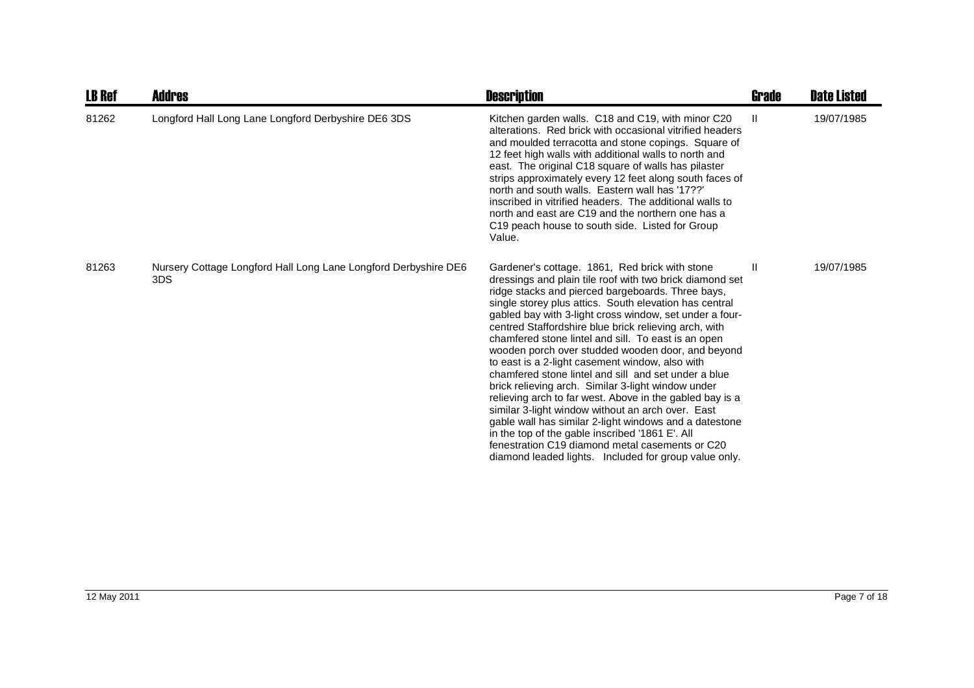| <b>LB Ref</b> | <b>Addres</b>                                                          | <b>Description</b>                                                                                                                                                                                                                                                                                                                                                                                                                                                                                                                                                                                                                                                                                                                                                                                                                                                                                                                                                   | Grade         | <b>Date Listed</b> |
|---------------|------------------------------------------------------------------------|----------------------------------------------------------------------------------------------------------------------------------------------------------------------------------------------------------------------------------------------------------------------------------------------------------------------------------------------------------------------------------------------------------------------------------------------------------------------------------------------------------------------------------------------------------------------------------------------------------------------------------------------------------------------------------------------------------------------------------------------------------------------------------------------------------------------------------------------------------------------------------------------------------------------------------------------------------------------|---------------|--------------------|
| 81262         | Longford Hall Long Lane Longford Derbyshire DE6 3DS                    | Kitchen garden walls. C18 and C19, with minor C20<br>alterations. Red brick with occasional vitrified headers<br>and moulded terracotta and stone copings. Square of<br>12 feet high walls with additional walls to north and<br>east. The original C18 square of walls has pilaster<br>strips approximately every 12 feet along south faces of<br>north and south walls. Eastern wall has '17??'<br>inscribed in vitrified headers. The additional walls to<br>north and east are C19 and the northern one has a<br>C <sub>19</sub> peach house to south side. Listed for Group<br>Value.                                                                                                                                                                                                                                                                                                                                                                           | $\mathbf{H}$  | 19/07/1985         |
| 81263         | Nursery Cottage Longford Hall Long Lane Longford Derbyshire DE6<br>3DS | Gardener's cottage. 1861, Red brick with stone<br>dressings and plain tile roof with two brick diamond set<br>ridge stacks and pierced bargeboards. Three bays,<br>single storey plus attics. South elevation has central<br>gabled bay with 3-light cross window, set under a four-<br>centred Staffordshire blue brick relieving arch, with<br>chamfered stone lintel and sill. To east is an open<br>wooden porch over studded wooden door, and beyond<br>to east is a 2-light casement window, also with<br>chamfered stone lintel and sill and set under a blue<br>brick relieving arch. Similar 3-light window under<br>relieving arch to far west. Above in the gabled bay is a<br>similar 3-light window without an arch over. East<br>gable wall has similar 2-light windows and a datestone<br>in the top of the gable inscribed '1861 E'. All<br>fenestration C19 diamond metal casements or C20<br>diamond leaded lights. Included for group value only. | $\mathbf{II}$ | 19/07/1985         |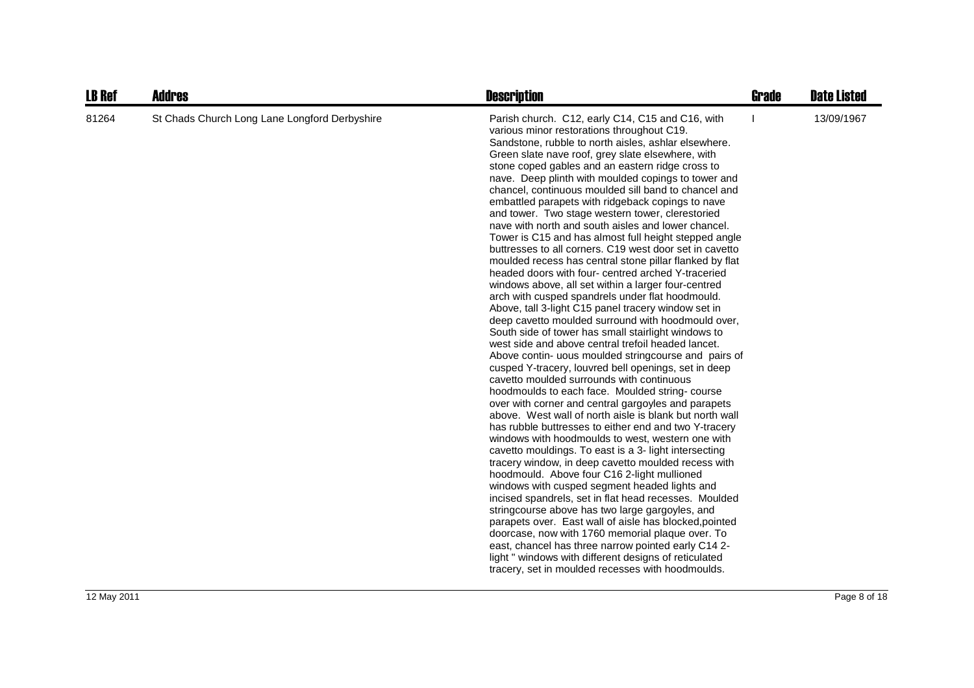| <b>LB Ref</b> | <b>Addres</b>                                 | <b>Description</b>                                                                                                                                                                                                                                                                                                                                                                                                                                                                                                                                                                                                                                                                                                                                                                                                                                                                                                                                                                                                                                                                                                                                                                                                                                                                                                                                                                                                                                                                                                                                                                                                                                                                                                                                                                                                                                                                                                                                                                                                                                                                                                                                                                     | <b>Grade</b> | <b>Date Listed</b> |
|---------------|-----------------------------------------------|----------------------------------------------------------------------------------------------------------------------------------------------------------------------------------------------------------------------------------------------------------------------------------------------------------------------------------------------------------------------------------------------------------------------------------------------------------------------------------------------------------------------------------------------------------------------------------------------------------------------------------------------------------------------------------------------------------------------------------------------------------------------------------------------------------------------------------------------------------------------------------------------------------------------------------------------------------------------------------------------------------------------------------------------------------------------------------------------------------------------------------------------------------------------------------------------------------------------------------------------------------------------------------------------------------------------------------------------------------------------------------------------------------------------------------------------------------------------------------------------------------------------------------------------------------------------------------------------------------------------------------------------------------------------------------------------------------------------------------------------------------------------------------------------------------------------------------------------------------------------------------------------------------------------------------------------------------------------------------------------------------------------------------------------------------------------------------------------------------------------------------------------------------------------------------------|--------------|--------------------|
| 81264         | St Chads Church Long Lane Longford Derbyshire | Parish church. C12, early C14, C15 and C16, with<br>various minor restorations throughout C19.<br>Sandstone, rubble to north aisles, ashlar elsewhere.<br>Green slate nave roof, grey slate elsewhere, with<br>stone coped gables and an eastern ridge cross to<br>nave. Deep plinth with moulded copings to tower and<br>chancel, continuous moulded sill band to chancel and<br>embattled parapets with ridgeback copings to nave<br>and tower. Two stage western tower, clerestoried<br>nave with north and south aisles and lower chancel.<br>Tower is C15 and has almost full height stepped angle<br>buttresses to all corners. C19 west door set in cavetto<br>moulded recess has central stone pillar flanked by flat<br>headed doors with four- centred arched Y-traceried<br>windows above, all set within a larger four-centred<br>arch with cusped spandrels under flat hoodmould.<br>Above, tall 3-light C15 panel tracery window set in<br>deep cavetto moulded surround with hoodmould over,<br>South side of tower has small stairlight windows to<br>west side and above central trefoil headed lancet.<br>Above contin- uous moulded stringcourse and pairs of<br>cusped Y-tracery, louvred bell openings, set in deep<br>cavetto moulded surrounds with continuous<br>hoodmoulds to each face. Moulded string-course<br>over with corner and central gargoyles and parapets<br>above. West wall of north aisle is blank but north wall<br>has rubble buttresses to either end and two Y-tracery<br>windows with hoodmoulds to west, western one with<br>cavetto mouldings. To east is a 3- light intersecting<br>tracery window, in deep cavetto moulded recess with<br>hoodmould. Above four C16 2-light mullioned<br>windows with cusped segment headed lights and<br>incised spandrels, set in flat head recesses. Moulded<br>stringcourse above has two large gargoyles, and<br>parapets over. East wall of aisle has blocked, pointed<br>doorcase, now with 1760 memorial plaque over. To<br>east, chancel has three narrow pointed early C14 2-<br>light " windows with different designs of reticulated<br>tracery, set in moulded recesses with hoodmoulds. |              | 13/09/1967         |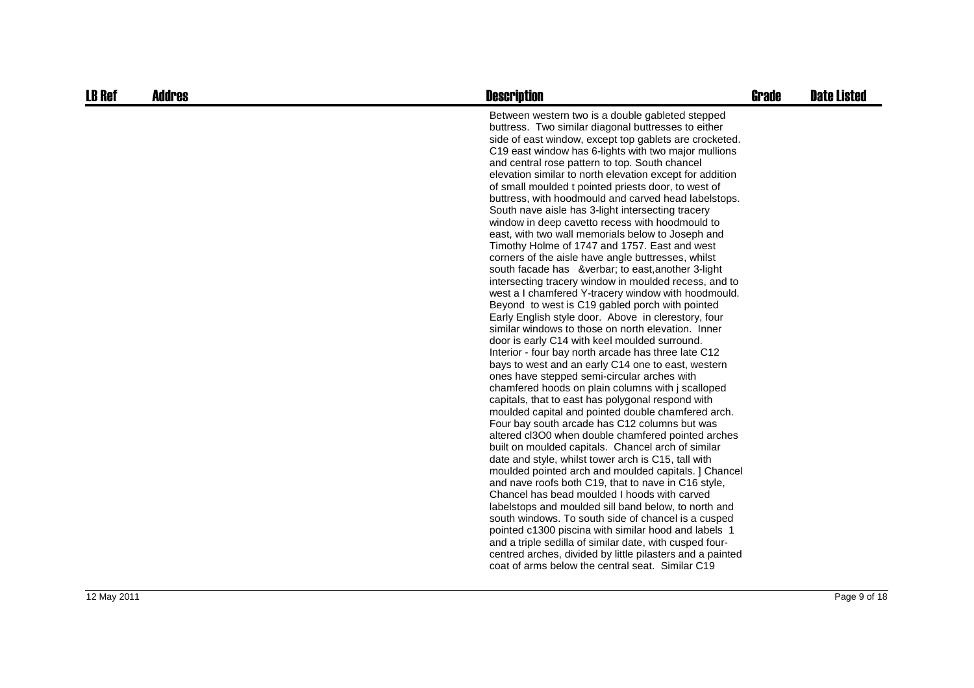| <b>LB Ref</b> | <b>Addres</b> | <b>Description</b>                                                                                                                                                                                                                                                                                                                                                                                                                                                                                                                                                                                                                                                                                                                                                                                                                                                                                                                                                                                                                                                                                                                                                                                                                                                                                                                                                                                                                                                                                                                                                                                                                                                                                                                                                                                                                                                                                                                                                                                                                                                                                                                                                           | <b>Grade</b> | <b>Date Listed</b> |
|---------------|---------------|------------------------------------------------------------------------------------------------------------------------------------------------------------------------------------------------------------------------------------------------------------------------------------------------------------------------------------------------------------------------------------------------------------------------------------------------------------------------------------------------------------------------------------------------------------------------------------------------------------------------------------------------------------------------------------------------------------------------------------------------------------------------------------------------------------------------------------------------------------------------------------------------------------------------------------------------------------------------------------------------------------------------------------------------------------------------------------------------------------------------------------------------------------------------------------------------------------------------------------------------------------------------------------------------------------------------------------------------------------------------------------------------------------------------------------------------------------------------------------------------------------------------------------------------------------------------------------------------------------------------------------------------------------------------------------------------------------------------------------------------------------------------------------------------------------------------------------------------------------------------------------------------------------------------------------------------------------------------------------------------------------------------------------------------------------------------------------------------------------------------------------------------------------------------------|--------------|--------------------|
|               |               | Between western two is a double gableted stepped<br>buttress. Two similar diagonal buttresses to either<br>side of east window, except top gablets are crocketed.<br>C19 east window has 6-lights with two major mullions<br>and central rose pattern to top. South chancel<br>elevation similar to north elevation except for addition<br>of small moulded t pointed priests door, to west of<br>buttress, with hoodmould and carved head labelstops.<br>South nave aisle has 3-light intersecting tracery<br>window in deep cavetto recess with hoodmould to<br>east, with two wall memorials below to Joseph and<br>Timothy Holme of 1747 and 1757. East and west<br>corners of the aisle have angle buttresses, whilst<br>south facade has   to east, another 3-light<br>intersecting tracery window in moulded recess, and to<br>west a I chamfered Y-tracery window with hoodmould.<br>Beyond to west is C19 gabled porch with pointed<br>Early English style door. Above in clerestory, four<br>similar windows to those on north elevation. Inner<br>door is early C14 with keel moulded surround.<br>Interior - four bay north arcade has three late C12<br>bays to west and an early C14 one to east, western<br>ones have stepped semi-circular arches with<br>chamfered hoods on plain columns with j scalloped<br>capitals, that to east has polygonal respond with<br>moulded capital and pointed double chamfered arch.<br>Four bay south arcade has C12 columns but was<br>altered cl3O0 when double chamfered pointed arches<br>built on moulded capitals. Chancel arch of similar<br>date and style, whilst tower arch is C15, tall with<br>moulded pointed arch and moulded capitals. ] Chancel<br>and nave roofs both C19, that to nave in C16 style,<br>Chancel has bead moulded I hoods with carved<br>labelstops and moulded sill band below, to north and<br>south windows. To south side of chancel is a cusped<br>pointed c1300 piscina with similar hood and labels 1<br>and a triple sedilla of similar date, with cusped four-<br>centred arches, divided by little pilasters and a painted<br>coat of arms below the central seat. Similar C19 |              |                    |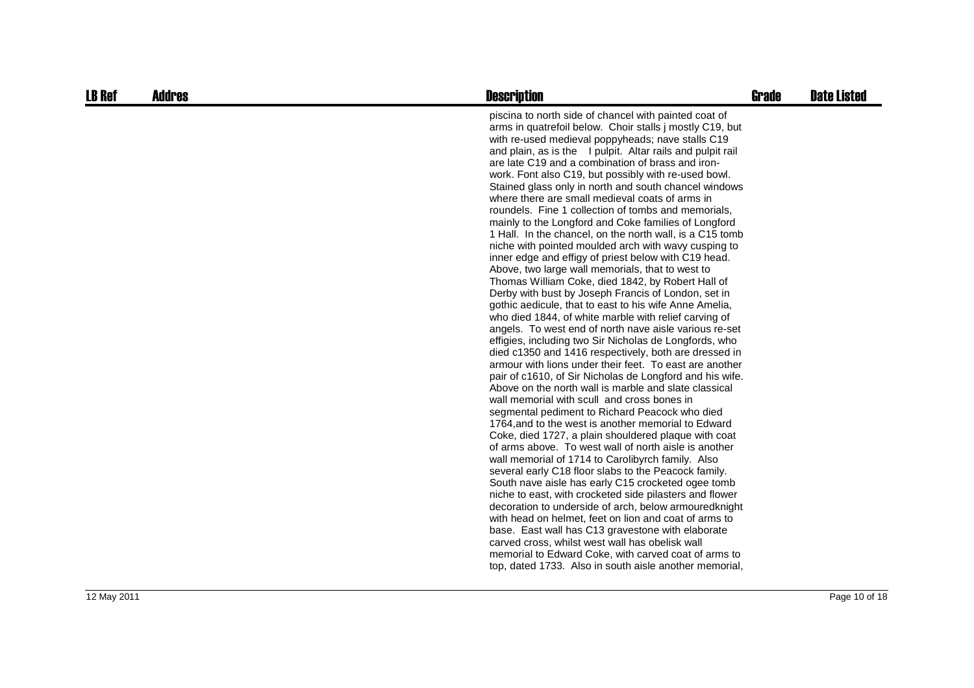| <b>LB Ref</b> | <b>Addres</b> | <b>Description</b>                                                                                                                                                                                                                                                                                                                                                                                                                                                                                                                                                                                                                                                                                                                                                                                                                                                                                                                                                                                                                                                                                                                                                                                                                                                                                                                                                                                                                                                                                                                                                                                                                                                                                                                                                                                                                                                                                                                                                                                                                                                                                                                                                                                                                                          | <b>Grade</b> | <b>Date Listed</b> |
|---------------|---------------|-------------------------------------------------------------------------------------------------------------------------------------------------------------------------------------------------------------------------------------------------------------------------------------------------------------------------------------------------------------------------------------------------------------------------------------------------------------------------------------------------------------------------------------------------------------------------------------------------------------------------------------------------------------------------------------------------------------------------------------------------------------------------------------------------------------------------------------------------------------------------------------------------------------------------------------------------------------------------------------------------------------------------------------------------------------------------------------------------------------------------------------------------------------------------------------------------------------------------------------------------------------------------------------------------------------------------------------------------------------------------------------------------------------------------------------------------------------------------------------------------------------------------------------------------------------------------------------------------------------------------------------------------------------------------------------------------------------------------------------------------------------------------------------------------------------------------------------------------------------------------------------------------------------------------------------------------------------------------------------------------------------------------------------------------------------------------------------------------------------------------------------------------------------------------------------------------------------------------------------------------------------|--------------|--------------------|
|               |               | piscina to north side of chancel with painted coat of<br>arms in quatrefoil below. Choir stalls j mostly C19, but<br>with re-used medieval poppyheads; nave stalls C19<br>and plain, as is the I pulpit. Altar rails and pulpit rail<br>are late C19 and a combination of brass and iron-<br>work. Font also C19, but possibly with re-used bowl.<br>Stained glass only in north and south chancel windows<br>where there are small medieval coats of arms in<br>roundels. Fine 1 collection of tombs and memorials,<br>mainly to the Longford and Coke families of Longford<br>1 Hall. In the chancel, on the north wall, is a C15 tomb<br>niche with pointed moulded arch with wavy cusping to<br>inner edge and effigy of priest below with C19 head.<br>Above, two large wall memorials, that to west to<br>Thomas William Coke, died 1842, by Robert Hall of<br>Derby with bust by Joseph Francis of London, set in<br>gothic aedicule, that to east to his wife Anne Amelia,<br>who died 1844, of white marble with relief carving of<br>angels. To west end of north nave aisle various re-set<br>effigies, including two Sir Nicholas de Longfords, who<br>died c1350 and 1416 respectively, both are dressed in<br>armour with lions under their feet. To east are another<br>pair of c1610, of Sir Nicholas de Longford and his wife.<br>Above on the north wall is marble and slate classical<br>wall memorial with scull and cross bones in<br>segmental pediment to Richard Peacock who died<br>1764, and to the west is another memorial to Edward<br>Coke, died 1727, a plain shouldered plaque with coat<br>of arms above. To west wall of north aisle is another<br>wall memorial of 1714 to Carolibyrch family. Also<br>several early C18 floor slabs to the Peacock family.<br>South nave aisle has early C15 crocketed ogee tomb<br>niche to east, with crocketed side pilasters and flower<br>decoration to underside of arch, below armouredknight<br>with head on helmet, feet on lion and coat of arms to<br>base. East wall has C13 gravestone with elaborate<br>carved cross, whilst west wall has obelisk wall<br>memorial to Edward Coke, with carved coat of arms to<br>top, dated 1733. Also in south aisle another memorial, |              |                    |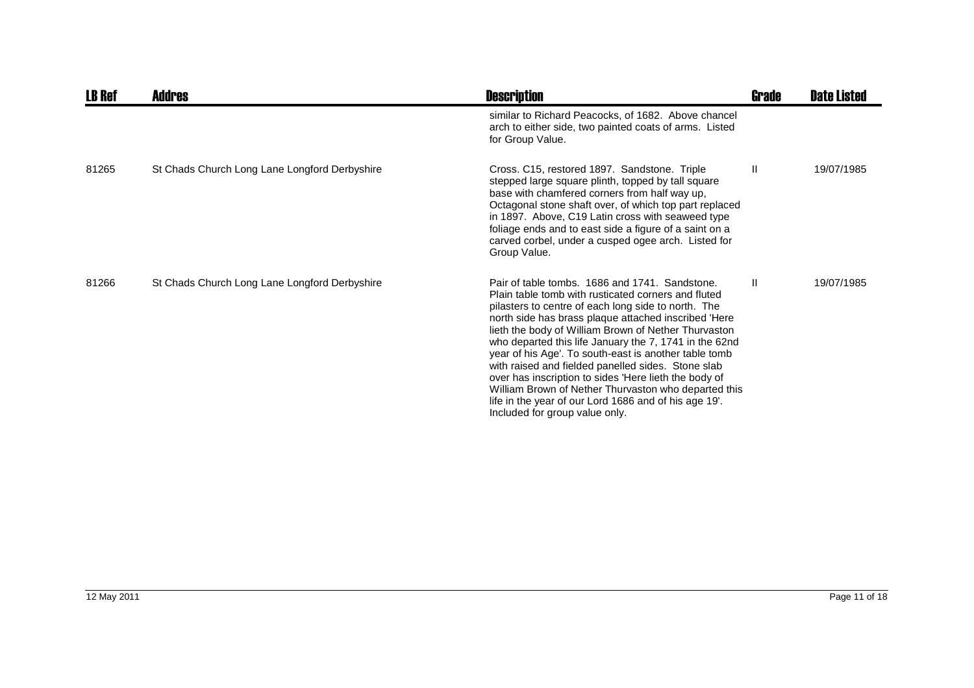| <b>LB Ref</b> | Addres                                        | <b>Description</b>                                                                                                                                                                                                                                                                                                                                                                                                                                                                                                                                                                                                                                                | Grade | <b>Date Listed</b> |
|---------------|-----------------------------------------------|-------------------------------------------------------------------------------------------------------------------------------------------------------------------------------------------------------------------------------------------------------------------------------------------------------------------------------------------------------------------------------------------------------------------------------------------------------------------------------------------------------------------------------------------------------------------------------------------------------------------------------------------------------------------|-------|--------------------|
|               |                                               | similar to Richard Peacocks, of 1682. Above chancel<br>arch to either side, two painted coats of arms. Listed<br>for Group Value.                                                                                                                                                                                                                                                                                                                                                                                                                                                                                                                                 |       |                    |
| 81265         | St Chads Church Long Lane Longford Derbyshire | Cross. C15, restored 1897. Sandstone. Triple<br>stepped large square plinth, topped by tall square<br>base with chamfered corners from half way up,<br>Octagonal stone shaft over, of which top part replaced<br>in 1897. Above, C19 Latin cross with seaweed type<br>foliage ends and to east side a figure of a saint on a<br>carved corbel, under a cusped ogee arch. Listed for<br>Group Value.                                                                                                                                                                                                                                                               | Ш     | 19/07/1985         |
| 81266         | St Chads Church Long Lane Longford Derbyshire | Pair of table tombs. 1686 and 1741. Sandstone.<br>Plain table tomb with rusticated corners and fluted<br>pilasters to centre of each long side to north. The<br>north side has brass plaque attached inscribed 'Here<br>lieth the body of William Brown of Nether Thurvaston<br>who departed this life January the 7, 1741 in the 62nd<br>year of his Age'. To south-east is another table tomb<br>with raised and fielded panelled sides. Stone slab<br>over has inscription to sides 'Here lieth the body of<br>William Brown of Nether Thurvaston who departed this<br>life in the year of our Lord 1686 and of his age 19'.<br>Included for group value only. | Ш     | 19/07/1985         |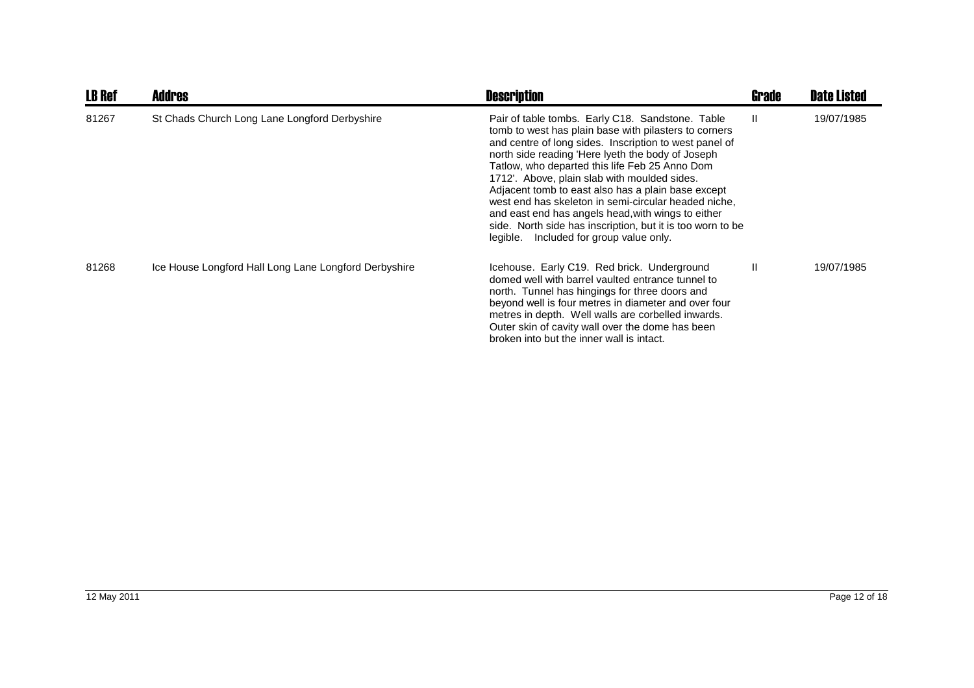| <b>LB Ref</b> | <b>Addres</b>                                         | <b>Description</b>                                                                                                                                                                                                                                                                                                                                                                                                                                                                                                                                                                                      | <b>Grade</b> | <b>Date Listed</b> |
|---------------|-------------------------------------------------------|---------------------------------------------------------------------------------------------------------------------------------------------------------------------------------------------------------------------------------------------------------------------------------------------------------------------------------------------------------------------------------------------------------------------------------------------------------------------------------------------------------------------------------------------------------------------------------------------------------|--------------|--------------------|
| 81267         | St Chads Church Long Lane Longford Derbyshire         | Pair of table tombs. Early C18. Sandstone. Table<br>tomb to west has plain base with pilasters to corners<br>and centre of long sides. Inscription to west panel of<br>north side reading 'Here Iyeth the body of Joseph<br>Tatlow, who departed this life Feb 25 Anno Dom<br>1712'. Above, plain slab with moulded sides.<br>Adjacent tomb to east also has a plain base except<br>west end has skeleton in semi-circular headed niche,<br>and east end has angels head, with wings to either<br>side. North side has inscription, but it is too worn to be<br>legible. Included for group value only. | $\mathbf{I}$ | 19/07/1985         |
| 81268         | Ice House Longford Hall Long Lane Longford Derbyshire | Icehouse. Early C19. Red brick. Underground<br>domed well with barrel vaulted entrance tunnel to<br>north. Tunnel has hingings for three doors and<br>beyond well is four metres in diameter and over four<br>metres in depth. Well walls are corbelled inwards.<br>Outer skin of cavity wall over the dome has been<br>broken into but the inner wall is intact.                                                                                                                                                                                                                                       | $\mathbf{H}$ | 19/07/1985         |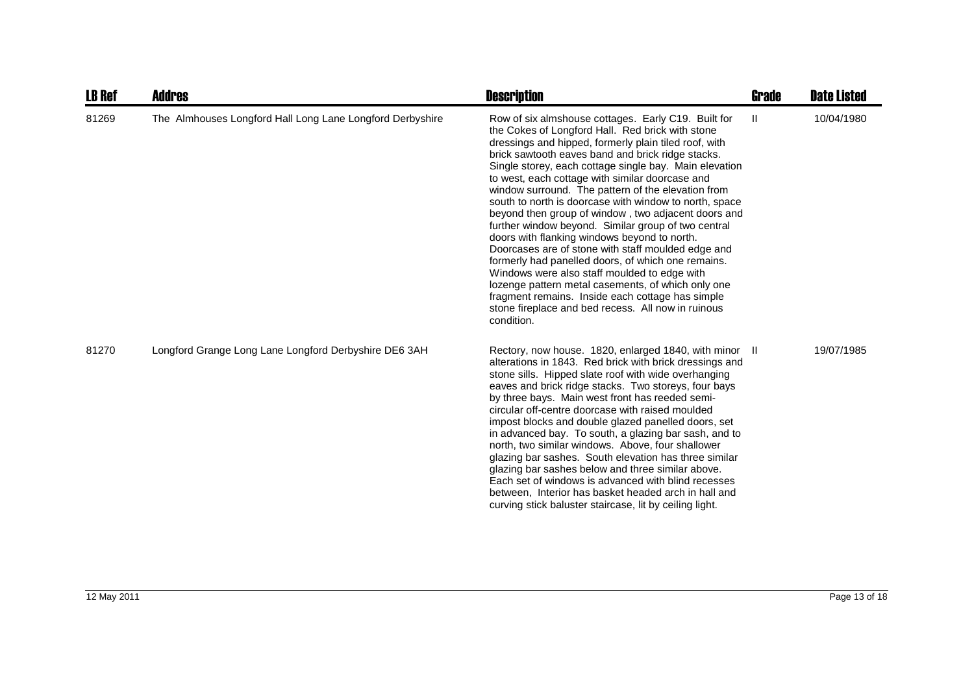| <b>LB Ref</b> | <b>Addres</b>                                             | <b>Description</b>                                                                                                                                                                                                                                                                                                                                                                                                                                                                                                                                                                                                                                                                                                                                                                                                                                                                                                                                         | Grade | <b>Date Listed</b> |
|---------------|-----------------------------------------------------------|------------------------------------------------------------------------------------------------------------------------------------------------------------------------------------------------------------------------------------------------------------------------------------------------------------------------------------------------------------------------------------------------------------------------------------------------------------------------------------------------------------------------------------------------------------------------------------------------------------------------------------------------------------------------------------------------------------------------------------------------------------------------------------------------------------------------------------------------------------------------------------------------------------------------------------------------------------|-------|--------------------|
| 81269         | The Almhouses Longford Hall Long Lane Longford Derbyshire | Row of six almshouse cottages. Early C19. Built for<br>the Cokes of Longford Hall. Red brick with stone<br>dressings and hipped, formerly plain tiled roof, with<br>brick sawtooth eaves band and brick ridge stacks.<br>Single storey, each cottage single bay. Main elevation<br>to west, each cottage with similar doorcase and<br>window surround. The pattern of the elevation from<br>south to north is doorcase with window to north, space<br>beyond then group of window, two adjacent doors and<br>further window beyond. Similar group of two central<br>doors with flanking windows beyond to north.<br>Doorcases are of stone with staff moulded edge and<br>formerly had panelled doors, of which one remains.<br>Windows were also staff moulded to edge with<br>lozenge pattern metal casements, of which only one<br>fragment remains. Inside each cottage has simple<br>stone fireplace and bed recess. All now in ruinous<br>condition. | Ш     | 10/04/1980         |
| 81270         | Longford Grange Long Lane Longford Derbyshire DE6 3AH     | Rectory, now house. 1820, enlarged 1840, with minor II<br>alterations in 1843. Red brick with brick dressings and<br>stone sills. Hipped slate roof with wide overhanging<br>eaves and brick ridge stacks. Two storeys, four bays<br>by three bays. Main west front has reeded semi-<br>circular off-centre doorcase with raised moulded<br>impost blocks and double glazed panelled doors, set<br>in advanced bay. To south, a glazing bar sash, and to<br>north, two similar windows. Above, four shallower<br>glazing bar sashes. South elevation has three similar<br>glazing bar sashes below and three similar above.<br>Each set of windows is advanced with blind recesses<br>between, Interior has basket headed arch in hall and<br>curving stick baluster staircase, lit by ceiling light.                                                                                                                                                      |       | 19/07/1985         |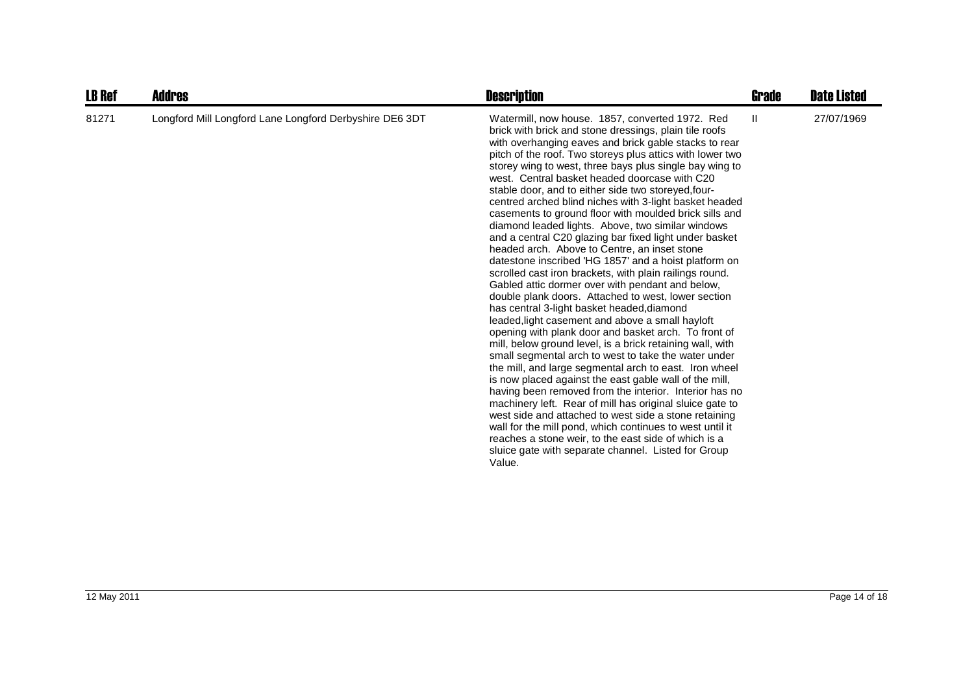| <b>LB Ref</b> | <b>Addres</b>                                           | <b>Description</b>                                                                                                                                                                                                                                                                                                                                                                                                                                                                                                                                                                                                                                                                                                                                                                                                                                                                                                                                                                                                                                                                                                                                                                                                                                                                                                                                                                                                                                                                                                                                                                                                                                                                          | Grade | <b>Date Listed</b> |
|---------------|---------------------------------------------------------|---------------------------------------------------------------------------------------------------------------------------------------------------------------------------------------------------------------------------------------------------------------------------------------------------------------------------------------------------------------------------------------------------------------------------------------------------------------------------------------------------------------------------------------------------------------------------------------------------------------------------------------------------------------------------------------------------------------------------------------------------------------------------------------------------------------------------------------------------------------------------------------------------------------------------------------------------------------------------------------------------------------------------------------------------------------------------------------------------------------------------------------------------------------------------------------------------------------------------------------------------------------------------------------------------------------------------------------------------------------------------------------------------------------------------------------------------------------------------------------------------------------------------------------------------------------------------------------------------------------------------------------------------------------------------------------------|-------|--------------------|
| 81271         | Longford Mill Longford Lane Longford Derbyshire DE6 3DT | Watermill, now house. 1857, converted 1972. Red<br>brick with brick and stone dressings, plain tile roofs<br>with overhanging eaves and brick gable stacks to rear<br>pitch of the roof. Two storeys plus attics with lower two<br>storey wing to west, three bays plus single bay wing to<br>west. Central basket headed doorcase with C20<br>stable door, and to either side two storeyed, four-<br>centred arched blind niches with 3-light basket headed<br>casements to ground floor with moulded brick sills and<br>diamond leaded lights. Above, two similar windows<br>and a central C20 glazing bar fixed light under basket<br>headed arch. Above to Centre, an inset stone<br>datestone inscribed 'HG 1857' and a hoist platform on<br>scrolled cast iron brackets, with plain railings round.<br>Gabled attic dormer over with pendant and below,<br>double plank doors. Attached to west, lower section<br>has central 3-light basket headed, diamond<br>leaded, light casement and above a small hayloft<br>opening with plank door and basket arch. To front of<br>mill, below ground level, is a brick retaining wall, with<br>small segmental arch to west to take the water under<br>the mill, and large segmental arch to east. Iron wheel<br>is now placed against the east gable wall of the mill,<br>having been removed from the interior. Interior has no<br>machinery left. Rear of mill has original sluice gate to<br>west side and attached to west side a stone retaining<br>wall for the mill pond, which continues to west until it<br>reaches a stone weir, to the east side of which is a<br>sluice gate with separate channel. Listed for Group<br>Value. | Ш     | 27/07/1969         |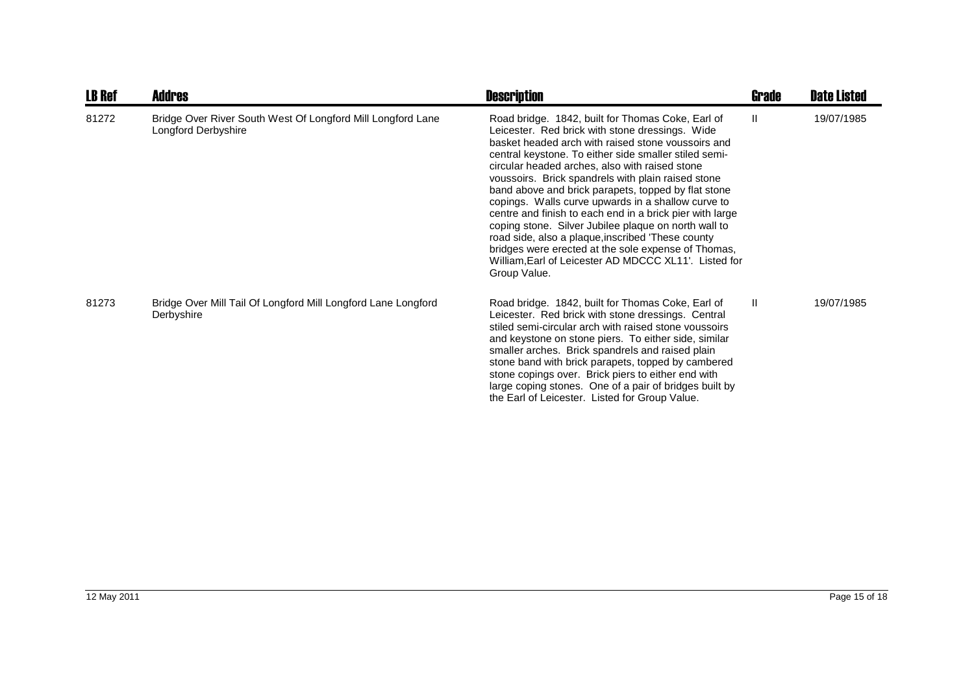| <b>LB Ref</b> | <b>Addres</b>                                                                      | <b>Description</b>                                                                                                                                                                                                                                                                                                                                                                                                                                                                                                                                                                                                                                                                                                                                | <b>Grade</b> | <b>Date Listed</b> |
|---------------|------------------------------------------------------------------------------------|---------------------------------------------------------------------------------------------------------------------------------------------------------------------------------------------------------------------------------------------------------------------------------------------------------------------------------------------------------------------------------------------------------------------------------------------------------------------------------------------------------------------------------------------------------------------------------------------------------------------------------------------------------------------------------------------------------------------------------------------------|--------------|--------------------|
| 81272         | Bridge Over River South West Of Longford Mill Longford Lane<br>Longford Derbyshire | Road bridge. 1842, built for Thomas Coke, Earl of<br>Leicester. Red brick with stone dressings. Wide<br>basket headed arch with raised stone voussoirs and<br>central keystone. To either side smaller stiled semi-<br>circular headed arches, also with raised stone<br>voussoirs. Brick spandrels with plain raised stone<br>band above and brick parapets, topped by flat stone<br>copings. Walls curve upwards in a shallow curve to<br>centre and finish to each end in a brick pier with large<br>coping stone. Silver Jubilee plaque on north wall to<br>road side, also a plaque, inscribed 'These county<br>bridges were erected at the sole expense of Thomas,<br>William, Earl of Leicester AD MDCCC XL11'. Listed for<br>Group Value. | Ш            | 19/07/1985         |
| 81273         | Bridge Over Mill Tail Of Longford Mill Longford Lane Longford<br>Derbyshire        | Road bridge. 1842, built for Thomas Coke, Earl of<br>Leicester. Red brick with stone dressings. Central<br>stiled semi-circular arch with raised stone voussoirs<br>and keystone on stone piers. To either side, similar<br>smaller arches. Brick spandrels and raised plain<br>stone band with brick parapets, topped by cambered<br>stone copings over. Brick piers to either end with<br>large coping stones. One of a pair of bridges built by<br>the Earl of Leicester. Listed for Group Value.                                                                                                                                                                                                                                              | $\mathbf{H}$ | 19/07/1985         |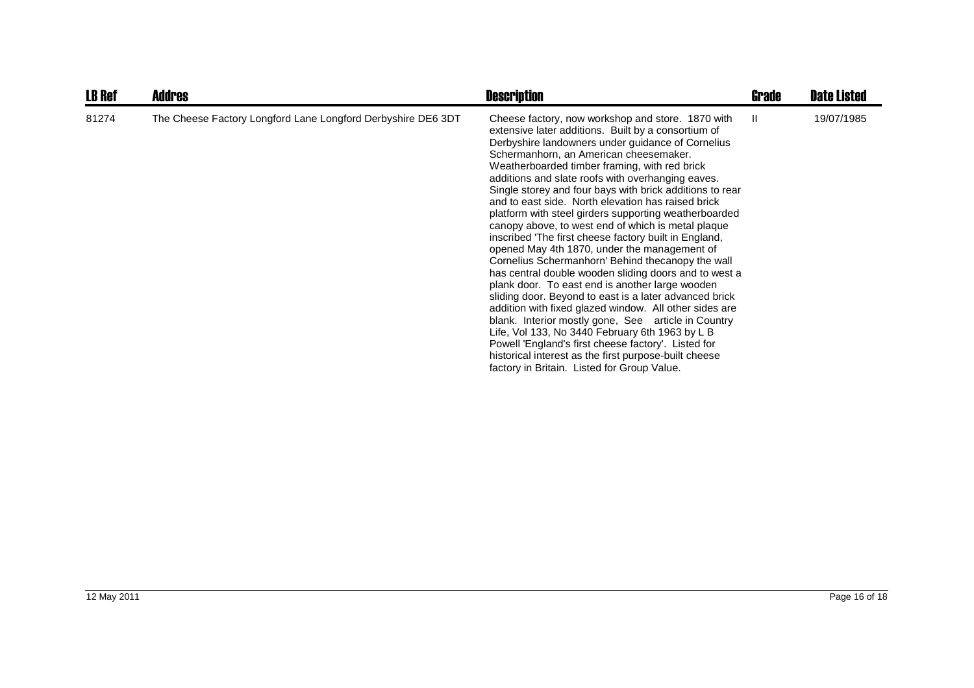| <b>LB Ref</b> | <b>Addres</b>                                                | <b>Description</b>                                                                                                                                                                                                                                                                                                                                                                                                                                                                                                                                                                                                                                                                                                                                                                                                                                                                                                                                                                                                                                                                                                                                                                                                    | Grade | <b>Date Listed</b> |
|---------------|--------------------------------------------------------------|-----------------------------------------------------------------------------------------------------------------------------------------------------------------------------------------------------------------------------------------------------------------------------------------------------------------------------------------------------------------------------------------------------------------------------------------------------------------------------------------------------------------------------------------------------------------------------------------------------------------------------------------------------------------------------------------------------------------------------------------------------------------------------------------------------------------------------------------------------------------------------------------------------------------------------------------------------------------------------------------------------------------------------------------------------------------------------------------------------------------------------------------------------------------------------------------------------------------------|-------|--------------------|
| 81274         | The Cheese Factory Longford Lane Longford Derbyshire DE6 3DT | Cheese factory, now workshop and store. 1870 with<br>extensive later additions. Built by a consortium of<br>Derbyshire landowners under guidance of Cornelius<br>Schermanhorn, an American cheesemaker.<br>Weatherboarded timber framing, with red brick<br>additions and slate roofs with overhanging eaves.<br>Single storey and four bays with brick additions to rear<br>and to east side. North elevation has raised brick<br>platform with steel girders supporting weatherboarded<br>canopy above, to west end of which is metal plaque<br>inscribed 'The first cheese factory built in England,<br>opened May 4th 1870, under the management of<br>Cornelius Schermanhorn' Behind thecanopy the wall<br>has central double wooden sliding doors and to west a<br>plank door. To east end is another large wooden<br>sliding door. Beyond to east is a later advanced brick<br>addition with fixed glazed window. All other sides are<br>blank. Interior mostly gone, See article in Country<br>Life, Vol 133, No 3440 February 6th 1963 by L B<br>Powell 'England's first cheese factory'. Listed for<br>historical interest as the first purpose-built cheese<br>factory in Britain. Listed for Group Value. | H.    | 19/07/1985         |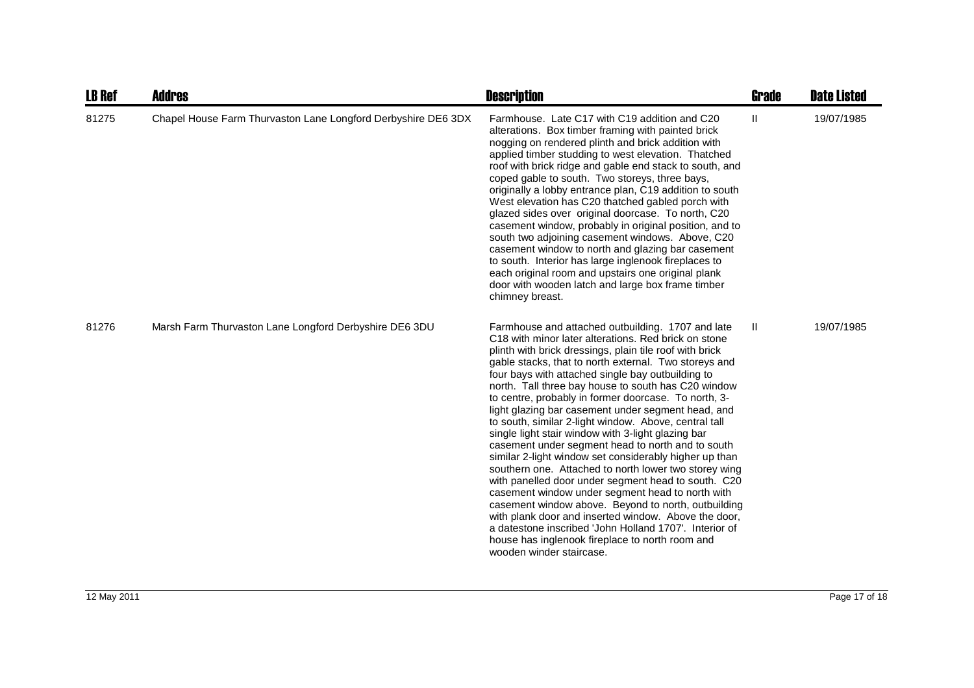| <b>LB Ref</b> | <b>Addres</b>                                                 | <b>Description</b>                                                                                                                                                                                                                                                                                                                                                                                                                                                                                                                                                                                                                                                                                                                                                                                                                                                                                                                                                                                                                                                                                                            | <b>Grade</b> | <b>Date Listed</b> |
|---------------|---------------------------------------------------------------|-------------------------------------------------------------------------------------------------------------------------------------------------------------------------------------------------------------------------------------------------------------------------------------------------------------------------------------------------------------------------------------------------------------------------------------------------------------------------------------------------------------------------------------------------------------------------------------------------------------------------------------------------------------------------------------------------------------------------------------------------------------------------------------------------------------------------------------------------------------------------------------------------------------------------------------------------------------------------------------------------------------------------------------------------------------------------------------------------------------------------------|--------------|--------------------|
| 81275         | Chapel House Farm Thurvaston Lane Longford Derbyshire DE6 3DX | Farmhouse. Late C17 with C19 addition and C20<br>alterations. Box timber framing with painted brick<br>nogging on rendered plinth and brick addition with<br>applied timber studding to west elevation. Thatched<br>roof with brick ridge and gable end stack to south, and<br>coped gable to south. Two storeys, three bays,<br>originally a lobby entrance plan, C19 addition to south<br>West elevation has C20 thatched gabled porch with<br>glazed sides over original doorcase. To north, C20<br>casement window, probably in original position, and to<br>south two adjoining casement windows. Above, C20<br>casement window to north and glazing bar casement<br>to south. Interior has large inglenook fireplaces to<br>each original room and upstairs one original plank<br>door with wooden latch and large box frame timber<br>chimney breast.                                                                                                                                                                                                                                                                  | Ш            | 19/07/1985         |
| 81276         | Marsh Farm Thurvaston Lane Longford Derbyshire DE6 3DU        | Farmhouse and attached outbuilding. 1707 and late<br>C <sub>18</sub> with minor later alterations. Red brick on stone<br>plinth with brick dressings, plain tile roof with brick<br>gable stacks, that to north external. Two storeys and<br>four bays with attached single bay outbuilding to<br>north. Tall three bay house to south has C20 window<br>to centre, probably in former doorcase. To north, 3-<br>light glazing bar casement under segment head, and<br>to south, similar 2-light window. Above, central tall<br>single light stair window with 3-light glazing bar<br>casement under segment head to north and to south<br>similar 2-light window set considerably higher up than<br>southern one. Attached to north lower two storey wing<br>with panelled door under segment head to south. C20<br>casement window under segment head to north with<br>casement window above. Beyond to north, outbuilding<br>with plank door and inserted window. Above the door,<br>a datestone inscribed 'John Holland 1707'. Interior of<br>house has inglenook fireplace to north room and<br>wooden winder staircase. | Ш            | 19/07/1985         |